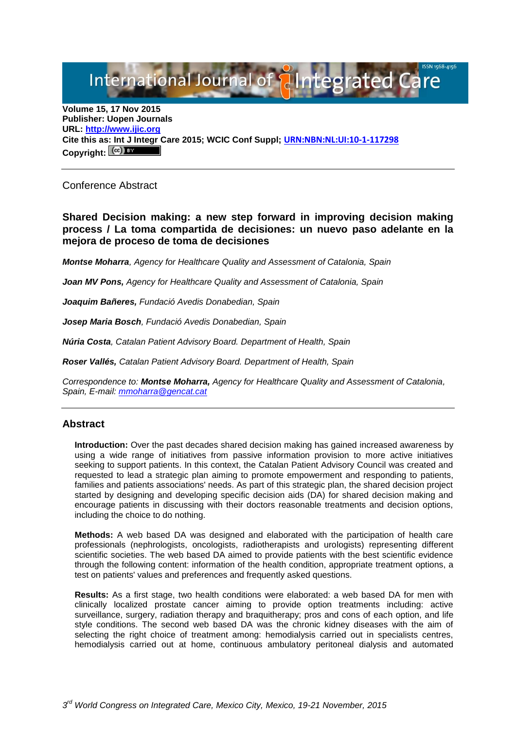International Journal of **Plantegrated Care** 

**Volume 15, 17 Nov 2015 Publisher: Uopen Journals URL: [http://www.ijic.org](http://www.ijic.org/) Cite this as: Int J Integr Care 2015; WCIC Conf Suppl; [URN:NBN:NL:UI:10-1-117298](http://persistent-identifier.nl/?identifier=URN:NBN:NL:UI:10-1-117298)** Copyright:  $(Cc)$ 

Conference Abstract

**Shared Decision making: a new step forward in improving decision making process / La toma compartida de decisiones: un nuevo paso adelante en la mejora de proceso de toma de decisiones**

*Montse Moharra, Agency for Healthcare Quality and Assessment of Catalonia, Spain* 

*Joan MV Pons, Agency for Healthcare Quality and Assessment of Catalonia, Spain* 

*Joaquim Bañeres, Fundació Avedis Donabedian, Spain*

*Josep Maria Bosch, Fundació Avedis Donabedian, Spain* 

*Núria Costa, Catalan Patient Advisory Board. Department of Health, Spain*

*Roser Vallés, Catalan Patient Advisory Board. Department of Health, Spain*

*Correspondence to: Montse Moharra, Agency for Healthcare Quality and Assessment of Catalonia, Spain, E-mail: [mmoharra@gencat.cat](mailto:mmoharra@gencat.cat)*

## **Abstract**

**Introduction:** Over the past decades shared decision making has gained increased awareness by using a wide range of initiatives from passive information provision to more active initiatives seeking to support patients. In this context, the Catalan Patient Advisory Council was created and requested to lead a strategic plan aiming to promote empowerment and responding to patients, families and patients associations' needs. As part of this strategic plan, the shared decision project started by designing and developing specific decision aids (DA) for shared decision making and encourage patients in discussing with their doctors reasonable treatments and decision options, including the choice to do nothing.

**Methods:** A web based DA was designed and elaborated with the participation of health care professionals (nephrologists, oncologists, radiotherapists and urologists) representing different scientific societies. The web based DA aimed to provide patients with the best scientific evidence through the following content: information of the health condition, appropriate treatment options, a test on patients' values and preferences and frequently asked questions.

**Results:** As a first stage, two health conditions were elaborated: a web based DA for men with clinically localized prostate cancer aiming to provide option treatments including: active surveillance, surgery, radiation therapy and braquitherapy; pros and cons of each option, and life style conditions. The second web based DA was the chronic kidney diseases with the aim of selecting the right choice of treatment among: hemodialysis carried out in specialists centres, hemodialysis carried out at home, continuous ambulatory peritoneal dialysis and automated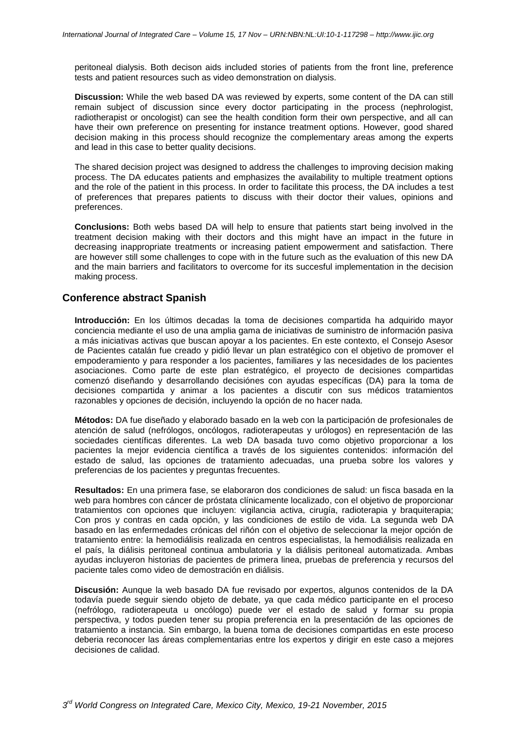peritoneal dialysis. Both decison aids included stories of patients from the front line, preference tests and patient resources such as video demonstration on dialysis.

**Discussion:** While the web based DA was reviewed by experts, some content of the DA can still remain subject of discussion since every doctor participating in the process (nephrologist, radiotherapist or oncologist) can see the health condition form their own perspective, and all can have their own preference on presenting for instance treatment options. However, good shared decision making in this process should recognize the complementary areas among the experts and lead in this case to better quality decisions.

The shared decision project was designed to address the challenges to improving decision making process. The DA educates patients and emphasizes the availability to multiple treatment options and the role of the patient in this process. In order to facilitate this process, the DA includes a test of preferences that prepares patients to discuss with their doctor their values, opinions and preferences.

**Conclusions:** Both webs based DA will help to ensure that patients start being involved in the treatment decision making with their doctors and this might have an impact in the future in decreasing inappropriate treatments or increasing patient empowerment and satisfaction. There are however still some challenges to cope with in the future such as the evaluation of this new DA and the main barriers and facilitators to overcome for its succesful implementation in the decision making process.

## **Conference abstract Spanish**

**Introducción:** En los últimos decadas la toma de decisiones compartida ha adquirido mayor conciencia mediante el uso de una amplia gama de iniciativas de suministro de información pasiva a más iniciativas activas que buscan apoyar a los pacientes. En este contexto, el Consejo Asesor de Pacientes catalán fue creado y pidió llevar un plan estratégico con el objetivo de promover el empoderamiento y para responder a los pacientes, familiares y las necesidades de los pacientes asociaciones. Como parte de este plan estratégico, el proyecto de decisiones compartidas comenzó diseñando y desarrollando decisiónes con ayudas específicas (DA) para la toma de decisiones compartida y animar a los pacientes a discutir con sus médicos tratamientos razonables y opciones de decisión, incluyendo la opción de no hacer nada.

**Métodos:** DA fue diseñado y elaborado basado en la web con la participación de profesionales de atención de salud (nefrólogos, oncólogos, radioterapeutas y urólogos) en representación de las sociedades científicas diferentes. La web DA basada tuvo como objetivo proporcionar a los pacientes la mejor evidencia científica a través de los siguientes contenidos: información del estado de salud, las opciones de tratamiento adecuadas, una prueba sobre los valores y preferencias de los pacientes y preguntas frecuentes.

**Resultados:** En una primera fase, se elaboraron dos condiciones de salud: un fisca basada en la web para hombres con cáncer de próstata clínicamente localizado, con el objetivo de proporcionar tratamientos con opciones que incluyen: vigilancia activa, cirugía, radioterapia y braquiterapia; Con pros y contras en cada opción, y las condiciones de estilo de vida. La segunda web DA basado en las enfermedades crónicas del riñón con el objetivo de seleccionar la mejor opción de tratamiento entre: la hemodiálisis realizada en centros especialistas, la hemodiálisis realizada en el país, la diálisis peritoneal continua ambulatoria y la diálisis peritoneal automatizada. Ambas ayudas incluyeron historias de pacientes de primera linea, pruebas de preferencia y recursos del paciente tales como video de demostración en diálisis.

**Discusión:** Aunque la web basado DA fue revisado por expertos, algunos contenidos de la DA todavía puede seguir siendo objeto de debate, ya que cada médico participante en el proceso (nefrólogo, radioterapeuta u oncólogo) puede ver el estado de salud y formar su propia perspectiva, y todos pueden tener su propia preferencia en la presentación de las opciones de tratamiento a instancia. Sin embargo, la buena toma de decisiones compartidas en este proceso deberia reconocer las áreas complementarias entre los expertos y dirigir en este caso a mejores decisiones de calidad.